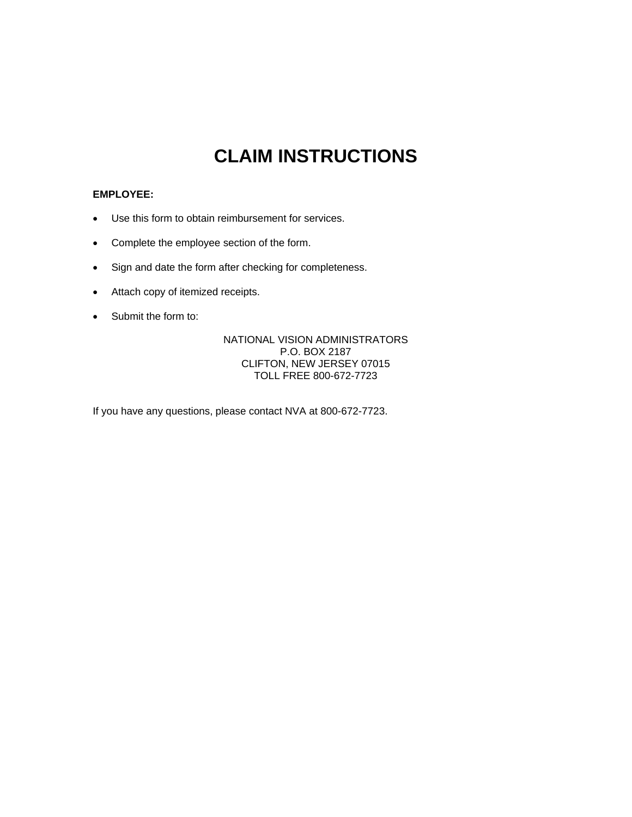## **CLAIM INSTRUCTIONS**

## **EMPLOYEE:**

- Use this form to obtain reimbursement for services.
- Complete the employee section of the form.
- Sign and date the form after checking for completeness.
- Attach copy of itemized receipts.
- Submit the form to:

NATIONAL VISION ADMINISTRATORS P.O. BOX 2187 CLIFTON, NEW JERSEY 07015 TOLL FREE 800-672-7723

If you have any questions, please contact NVA at 800-672-7723.